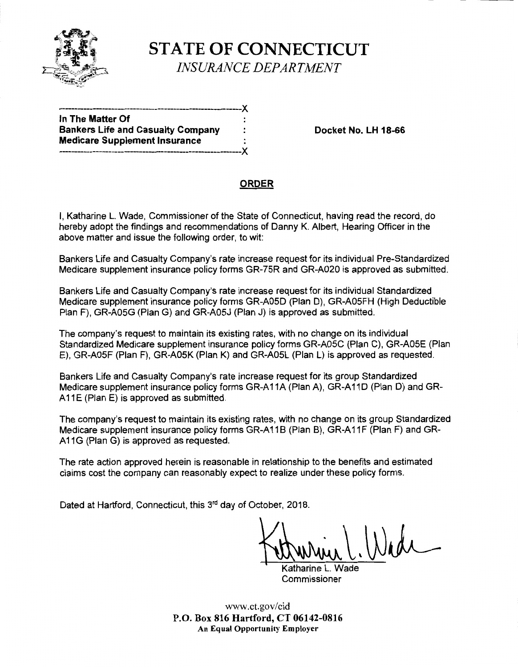

**STATE OF CONNECTICUT**  *INSURANCE DEPARTMENT* 

--~-------------------------------------------------------)( **In The Matter Of**  Bankers Life and Casualty Company : **Docket No. LH 18-66 Medicare Supplement Insurance**  ----~-----------~------------------~--------------------)(

# **ORDER**

I, Katharine L. Wade, Commissioner of the State of Connecticut, having read the record, do hereby adopt the findings and recommendations of Danny K. Albert, Hearing Officer in the above matter and issue the following order, to wit:

Bankers Life and Casualty Company's rate increase request for its individual Pre-Standardized Medicare supplement insurance policy forms GR-75R and GR-A020 is approved as submitted.

Bankers Life and Casualty Company's rate increase request for its individual Standardized Medicare supplement insurance policy forms GR-AOSD (Plan D), GR-AOSFH (High Deductible Plan F), GR-AOSG (Plan G) and GR-AOSJ (Plan J) is approved as submitted.

The company's request to maintain its existing rates, with no change on its individual Standardized Medicare supplement insurance policy forms GR-AOSC (Plan C), GR-AOSE (Plan E), GR-AOSF (Plan F), GR-AOSK (Plan K) and GR-AOSL (Plan L) is approved as requested.

Bankers Life and Casualty Company's rate increase request for its group Standardized Medicare supplement insurance policy forms GR-A11A (Plan A), GR-A11D (Plan D) and GR-A11E (Plan E) is approved as submitted.

The company's request to maintain its existing rates, with no change on its group Standardized Medicare supplement insurance policy forms GR-A11B (Plan B), GR-A11F (Plan F) and GR-A11G (Plan G) is approved as requested.

The rate action approved herein is reasonable in relationship to the benefits and estimated claims cost the company can reasonably expect to realize under these policy forms.

Dated at Hartford, Connecticut, this 3<sup>rd</sup> day of October, 2018.

 $U.WM$ 

Katharine L. Wade Commissioner

www.ct.gov/cid **P.O. Box 816 Hartford, CT 06142-0816 An Equal Opportunity Employer**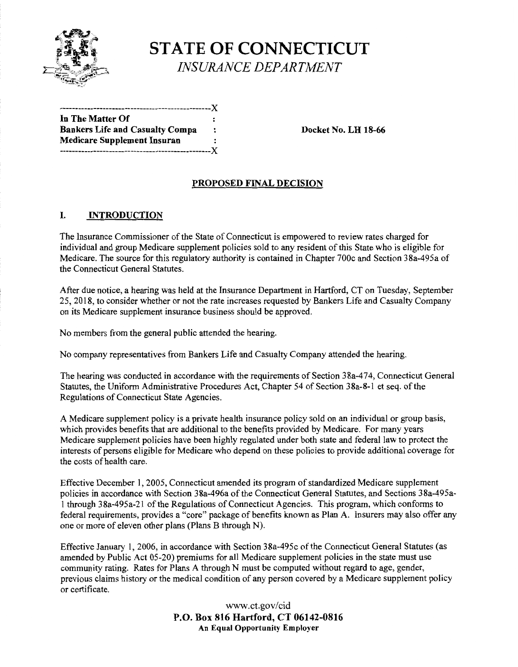

**STATE OF CONNECTICUT**  *INSURANCE DEPARTMENT* 

-------------------------------------------------)( **In The Matter Of**  Bankers Life and Casualty Compa : Docket No. LH 18-66 **Medicare Supplement lnsuran**  -------------------------------------------------)(

### **PROPOSED FINAL DECISION**

### I. **INTRODUCTION**

The Insurance Commissioner of the State of Connecticut is empowered to review rates charged for individual and group Medicare supplement policies sold to any resident of this State who is eligible for Medicare. The source for this regulatory authority is contained in Chapter 700c and Section 38a-495a of the Connecticut General Statutes.

After due notice, a hearing was held at the Insurance Department in Hartford, CT on Tuesday, September 25, 2018, to consider whether or not the rate increases requested by Bankers Life and Casualty Company on its Medicare supplement insurance business should be approved.

No members from the general public attended the hearing.

No company representatives from Bankers Life and Casualty Company attended the hearing.

The hearing was conducted in accordance with the requirements of Section 38a-474, Connecticut General Statutes, the Uniform Administrative Procedures Act, Chapter 54 of Section 38a-8-1 et seq. of the Regulations of Connecticut State Agencies.

A Medicare supplement policy is a private health insurance policy sold on an individual or group basis, which provides benefits that are additional to the benefits provided by Medicare. For many years Medicare supplement policies have been highly regulated under both state and federal law to protect the interests of persons eligible for Medicare who depend on these policies to provide additional coverage for the costs of health care.

Effective December 1, 2005, Connecticut amended its program of standardized Medicare supplement policies in accordance with Section 38a-496a of the Connecticut General Statutes, and Sections 38a-495a-1 through 38a-495a-21 of the Regulations of Connecticut Agencies. This program, which conforms to federal requirements, provides a "core" package of benefits known as Plan A. Insurers may also offer any one or more of eleven other plans (Plans B through N).

Effective January 1, 2006, in accordance with Section 38a-495c of the Connecticut General Statutes (as amended by Public Act 05-20) premiums for all Medicare supplement policies in the state must use community rating. Rates for Plans A through N must be computed without regard to age, gender, previous claims history or the medical condition of any person covered by a Medicare supplement policy or certificate.

> www.ct.gov/cid **P.O. Box 816 Hartford, CT 06142-0816 An Equal Opportunity Employer**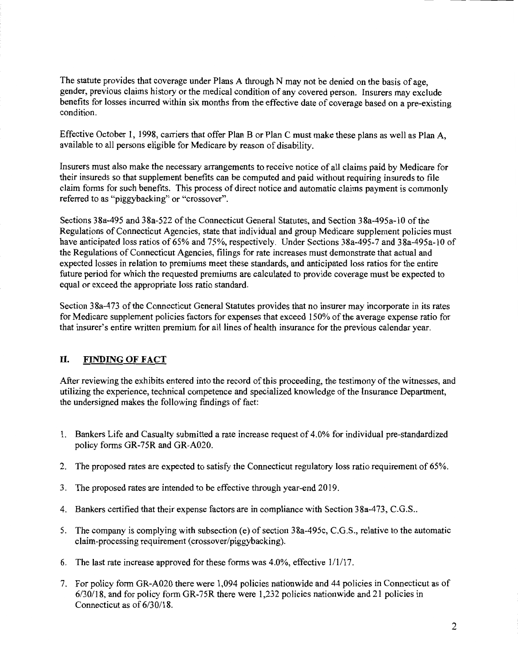The statute provides that coverage under Plans A through N may not be denied on the basis of age, gender, previous claims history or the medical condition of any covered person. Insurers may exclude benefits for losses incurred within six months from the effective date of coverage based on a pre-existing condition.

Effective October I, 1998, carriers that offer Plan B or Plan C must make these plans as well as Plan A, available to all persons eligible for Medicare by reason of disability.

Insurers must also make the necessary arrangements to receive notice of all claims paid by Medicare for their insureds so that supplement benefits can be computed and paid without requiring insureds to file claim forms for such benefits. This process of direct notice and automatic claims payment is commonly referred to as "piggybacking" or "crossover".

Sections 38a-495 and 38a-522 ofthe Connecticut General Statutes, and Section 38a-495a-I0 of the Regulations of Connecticut Agencies, state that individual and group Medicare supplement policies must have anticipated loss ratios of 65% and 75%, respectively. Under Sections 38a-495-7 and 38a-495a-10 of the Regulations of Connecticut Agencies, filings for rate increases must demonstrate that actual and expected losses in relation to premiums meet these standards, and anticipated loss ratios for the entire future period for which the requested premiums are calculated to provide coverage must be expected to equal or exceed the appropriate loss ratio standard.

Section 38a-473 of the Connecticut General Statutes provides that no insurer may incorporate in its rates for Medicare supplement policies factors for expenses that exceed 150% of the average expense ratio for that insurer's entire written premium for all lines of health insurance for the previous calendar year.

### **II. FINDING OF FACT**

After reviewing the exhibits entered into the record ofthis proceeding, the testimony of the witnesses, and utilizing the experience, technical competence and specialized knowledge of the Insurance Department, the undersigned makes the following findings of fact:

- I. Bankers Life and Casualty submitted a rate increase request of 4.0% for individual pre-standardized policy forms GR-75R and GR-A020.
- 2. The proposed rates are expected to satisfy the Connecticut regulatory loss ratio requirement of 65%.
- 3. The proposed rates are intended to be effective through year-end 2019.
- 4. Bankers certified that their expense factors are in compliance with Section 38a-473, C.G.S ..
- 5. The company is complying with subsection (e) of section 38a-495c, C.G.S., relative to the automatic claim-processing requirement (crossover/piggybacking).
- 6. The last rate increase approved for these forms was 4.0%, effective 1/1/17.
- 7. For policy form GR-A020 there were 1,094 policies nationwide and 44 policies in Connecticut as of 6/30/18, and for policy form GR-75R there were 1,232 policies nationwide and 21 policies in Connecticut as of 6/30/18.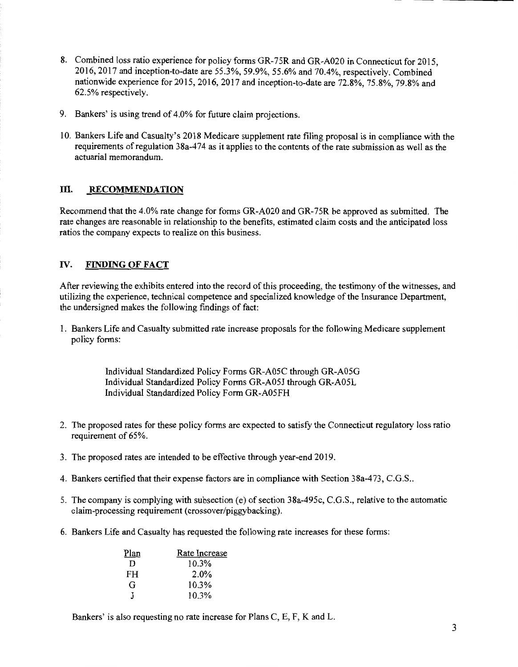- 8. Combined loss ratio experience for policy forms GR-75R and GR-A020 in Connecticut for 2015, 2016, 2017 and inception-to-date are 55.3%, 59.9%, 55.6% and 70.4%, respectively. Combined nationwide experience for 2015, 2016, 2017 and inception-to-date are 72.8%, 75.8%, 79.8% and 62.5% respectively.
- 9. Bankers' is using trend of 4.0% for future claim projections.
- 10. Bankers Life and Casualty's 2018 Medicare supplement rate filing proposal is in compliance with the requirements ofregulation 38a-474 as it applies to the contents ofthe rate submission as well as the actuarial memorandum.

## III. RECOMMENDATION

Recommend that the 4.0% rate change for forms GR-A020 and GR-75R be approved as submitted. The rate changes are reasonable in relationship to the benefits, estimated claim costs and the anticipated loss ratios the company expects to realize on this business.

## IV. **FINDING OF FACT**

After reviewing the exhibits entered into the record of this proceeding, the testimony of the witnesses, and utilizing the experience, technical competence and specialized knowledge of the Insurance Department, the undersigned makes the following findings of fact:

1. Bankers Life and Casualty submitted rate increase proposals for the following Medicare supplement policy forms:

> Individual Standardized Policy Forms GR-A05C through GR-A05G Individual Standardized Policy Forms GR-A05J through GR-A05L Individual Standardized Policy Form GR-A05FH

- 2. The proposed rates for these policy forms are expected to satisfy the Connecticut regulatory loss ratio requirement of 65%.
- 3. The proposed rates are intended to be effective through year-end 2019.
- 4. Bankers certified that their expense factors are in compliance with Section 38a-473, C.G.S..
- 5. The company is complying with subsection (e) of section 38a-495c, C.G.S., relative to the automatic claim-processing requirement (crossover/piggybacking).
- 6. Bankers Life and Casualty has requested the following rate increases for these forms:

| Plan | Rate Increase |
|------|---------------|
| D    | 10.3%         |
| FH   | 2.0%          |
| G    | 10.3%         |
| Т    | 10.3%         |

Bankers' is also requesting no rate increase for Plans C, E, F, K and L.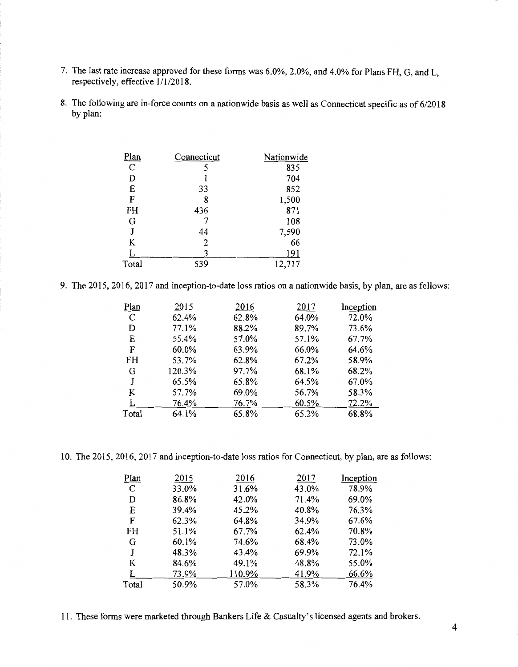- 7. The last rate increase approved for these forms was 6.0%, 2.0%, and 4.0% for Plans FH, G, and L, respectively, effective 1/1/2018.
- 8. The following are in-force counts on a nationwide basis as well as Connecticut specific as of 6/2018 by plan:

| <u>Plan</u>   | Connecticut    | Nationwide |
|---------------|----------------|------------|
| $\mathcal{C}$ |                | 835        |
| D             |                | 704        |
| E             | 33             | 852        |
| F             | 8              | 1,500      |
| FH            | 436            | 871        |
| G             |                | 108        |
| J             | 44             | 7,590      |
| K             | $\overline{2}$ | 66         |
|               |                | 191        |
| Total         | 539            | 12,717     |

9. The 2015, 2016, 2017 and inception-to-date loss ratios on a nationwide basis, by plan, are as follows:

| Plan  | 2015   | 2016  | 2017  | Inception |
|-------|--------|-------|-------|-----------|
| C     | 62.4%  | 62.8% | 64.0% | 72.0%     |
| D     | 77.1%  | 88.2% | 89.7% | 73.6%     |
| E     | 55.4%  | 57.0% | 57.1% | 67.7%     |
| F     | 60.0%  | 63.9% | 66.0% | 64.6%     |
| FH    | 53.7%  | 62.8% | 67.2% | 58.9%     |
| G     | 120.3% | 97.7% | 68.1% | 68.2%     |
| J     | 65.5%  | 65.8% | 64.5% | 67.0%     |
| K     | 57.7%  | 69.0% | 56.7% | 58.3%     |
|       | 76.4%  | 76.7% | 60.5% | 72.2%     |
| Total | 64.1%  | 65.8% | 65.2% | 68.8%     |

10. The 2015, 2016, 2017 and inception-to-date loss ratios for Connecticut, by plan, are as follows:

| 2015  | 2016   | 2017  | Inception |
|-------|--------|-------|-----------|
| 33.0% | 31.6%  | 43.0% | 78.9%     |
| 86.8% | 42.0%  | 71.4% | 69.0%     |
| 39.4% | 45.2%  | 40.8% | 76.3%     |
| 62.3% | 64.8%  | 34.9% | 67.6%     |
| 51.1% | 67.7%  | 62.4% | 70.8%     |
| 60.1% | 74.6%  | 68.4% | 73.0%     |
| 48.3% | 43.4%  | 69.9% | 72.1%     |
| 84.6% | 49.1%  | 48.8% | 55.0%     |
| 73.9% | 110.9% | 41.9% | 66.6%     |
| 50.9% | 57.0%  | 58.3% | 76.4%     |
|       |        |       |           |

11. These forms were marketed through Bankers Life & Casualty's licensed agents and brokers.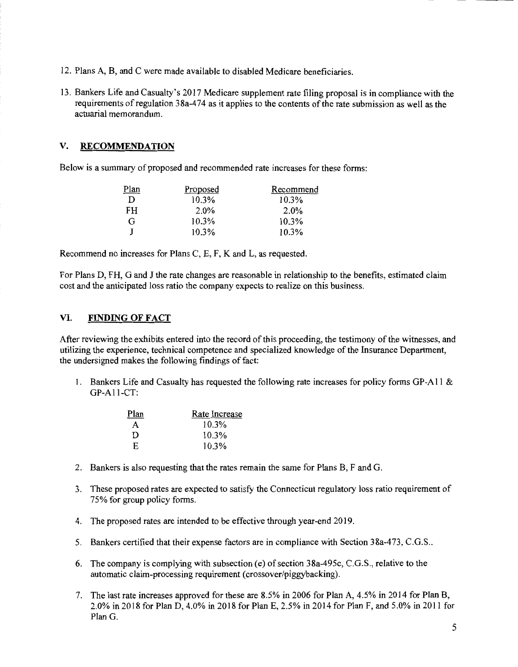- 12. Plans A, B, and C were made available to disabled Medicare beneficiaries.
- 13. Bankers Life and Casualty's 2017 Medicare supplement rate filing proposal is in compliance with the requirements of regulation 38a-474 as it applies to the contents of the rate submission as well as the actuarial memorandum.

#### **V. RECOMMENDATION**

Below is a summary of proposed and recommended rate increases for these forms:

| Plan | Proposed | Recommend |
|------|----------|-----------|
| D    | 10.3%    | 10.3%     |
| FH.  | 2.0%     | $2.0\%$   |
| G    | $10.3\%$ | 10.3%     |
|      | $10.3\%$ | 10.3%     |

Recommend no increases for Plans C, E, F, Kand L, as requested.

For Plans D, FH, G and J the rate changes are reasonable in relationship to the benefits, estimated claim cost and the anticipated loss ratio the company expects to realize on this business.

#### **VI. FINDING OF FACT**

After reviewing the exhibits entered into the record of this proceeding, the testimony of the witnesses, and utilizing the experience, technical competence and specialized knowledge ofthe Insurance Department, the undersigned makes the following findings of fact:

1. Bankers Life and Casualty has requested the following rate increases for policy forms GP-Al 1 & GP-All-CT:

| Plan | Rate Increase |
|------|---------------|
| A    | 10.3%         |
| Ð    | 10.3%         |
| E.   | 10.3%         |

- 2. Bankers is also requesting that the rates remain the same for Plans B, F and G.
- 3. These proposed rates are expected to satisfy the Connecticut regulatory loss ratio requirement of 75% for group policy forms.
- 4. The proposed rates are intended to be effective through year-end 2019.
- 5. Bankers certified that their expense factors are in compliance with Section 38a-473, C.G.S ..
- 6. The company is complying with subsection (e) of section 38a-495c, C.G.S., relative to the automatic claim-processing requirement (crossover/piggybacking).
- 7. The last rate increases approved for these are 8.5% in 2006 for Plan A, 4.5% in 2014 for Plan B, 2.0% in 2018 for Plan D, 4.0% in 2018 for Plan E, 2.5% in 2014 for Plan F, and 5.0% in 2011 for Plan G.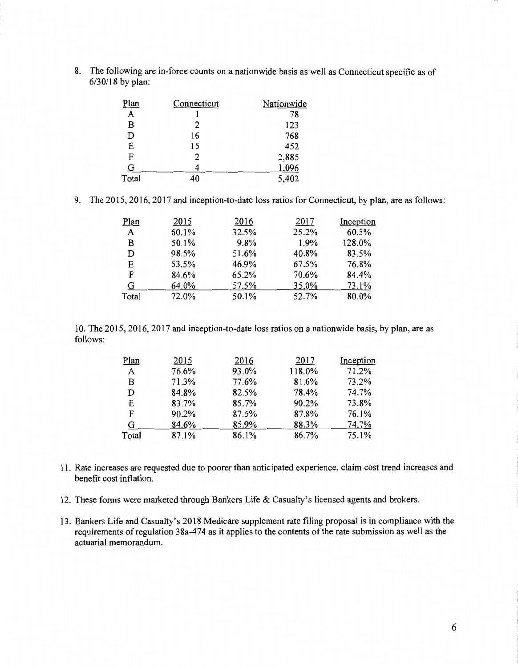8. The following are in-force counts on a nationwide basis as well as Connecticut specific as of 6/30/18 by plan:

| Plan  | Connecticut | Nationwide |
|-------|-------------|------------|
| A     |             | 78         |
| B     | 2           | 123        |
| D     | 16          | 768        |
| E     | 15          | 452        |
| F     | 2           | 2,885      |
| G     |             | 1,096      |
| Total | 40          | 5,402      |

9. The 2015, 2016, 2017 and inception-to-date loss ratios for Connecticut, by plan, are as follows:

| Plan  | 2015  | 2016  | 2017  | Inception |
|-------|-------|-------|-------|-----------|
| A     | 60.1% | 32.5% | 25.2% | 60.5%     |
| B     | 50.1% | 9.8%  | 1.9%  | 128.0%    |
| D     | 98.5% | 51.6% | 40.8% | 83.5%     |
| E.    | 53.5% | 46.9% | 67.5% | 76.8%     |
| F     | 84.6% | 65.2% | 70.6% | 84.4%     |
| G     | 64.0% | 57.5% | 35.0% | 73.1%     |
| Total | 72.0% | 50.1% | 52.7% | 80.0%     |

10. The 2015, 2016, 2017 and inception-to-date loss ratios on a nationwide basis, by plan, are as follows:

| Plan  | 2015  | 2016  | 2017   | Inception |
|-------|-------|-------|--------|-----------|
| A     | 76.6% | 93.0% | 118.0% | 71.2%     |
| в     | 71.3% | 77.6% | 81.6%  | 73.2%     |
| D     | 84.8% | 82.5% | 78.4%  | 74.7%     |
| Е     | 83.7% | 85.7% | 90.2%  | 73.8%     |
| F     | 90.2% | 87.5% | 87.8%  | 76.1%     |
| G     | 84.6% | 85.9% | 88.3%  | 74.7%     |
| Total | 87.1% | 86.1% | 86.7%  | 75.1%     |

- 11. Rate increases are requested due to poorer than anticipated experience, claim cost trend increases and benefit cost inflation.
- 12. These forms were marketed through Bankers Life & Casualty's licensed agents and brokers.
- 13. Bankers Life and Casualty's 2018 Medicare supplement rate filing proposal is in compliance with the requirements of regulation 38a-474 as it applies to the contents of the rate submission as well as the actuarial memorandum.